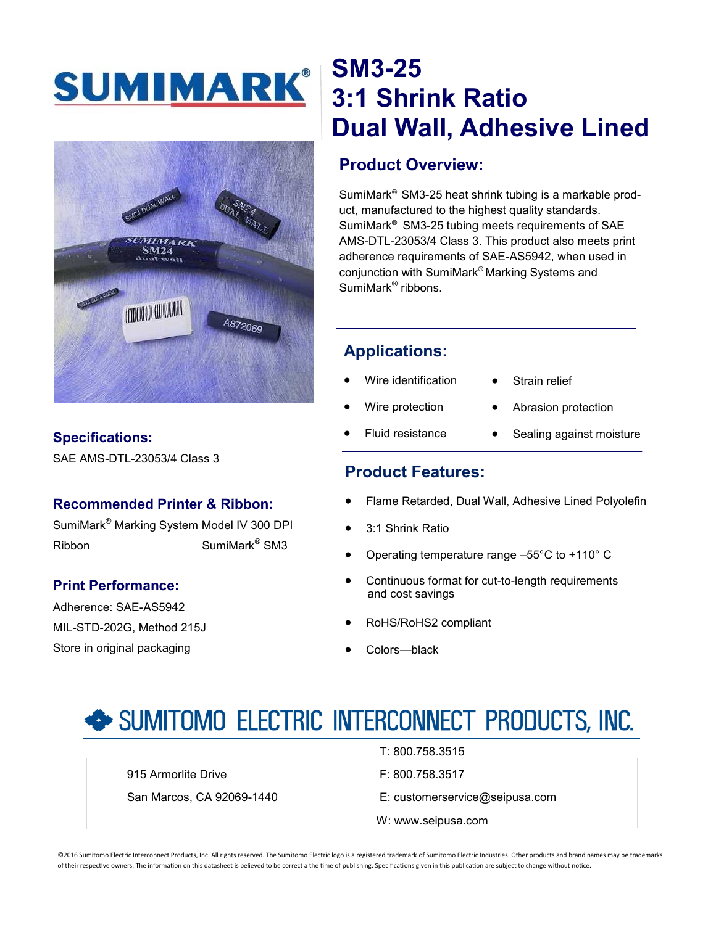# SUMIMARK®



### **Specifications:**

SAE AMS-DTL-23053/4 Class 3

### **Recommended Printer & Ribbon:**

SumiMark® Marking System Model IV 300 DPI Ribbon SumiMark<sup>®</sup> SM3

### **Print Performance:**

Adherence: SAE-AS5942 MIL-STD-202G, Method 215J Store in original packaging

### **SM3-25 3:1 Shrink Ratio Dual Wall, Adhesive Lined**

### **Product Overview:**

SumiMark® SM3-25 heat shrink tubing is a markable product, manufactured to the highest quality standards. SumiMark® SM3-25 tubing meets requirements of SAE AMS-DTL-23053/4 Class 3. This product also meets print adherence requirements of SAE-AS5942, when used in conjunction with SumiMark® Marking Systems and SumiMark<sup>®</sup> ribbons.

### **Applications:**

- Wire identification
- Strain relief
- Wire protection
- Abrasion protection
- Fluid resistance
- Sealing against moisture

### **Product Features:**

- Flame Retarded, Dual Wall, Adhesive Lined Polyolefin
- 3:1 Shrink Ratio
- Operating temperature range –55°C to +110° C
- Continuous format for cut-to-length requirements and cost savings
- RoHS/RoHS2 compliant
- Colors—black

## SUMITOMO ELECTRIC INTERCONNECT PRODUCTS, INC.

915 Armorlite Drive **F: 800.758.3517** 

- T: 800.758.3515
- 
- San Marcos, CA 92069-1440 E: customerservice@seipusa.com
	- W: www.seipusa.com

©2016 Sumitomo Electric Interconnect Products, Inc. All rights reserved. The Sumitomo Electric logo is a registered trademark of Sumitomo Electric Industries. Other products and brand names may be trademarks of their respective owners. The information on this datasheet is believed to be correct a the time of publishing. Specifications given in this publication are subject to change without notice.